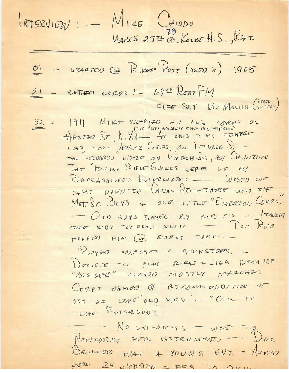$MTERVIDU: - MINE CHIOO  
MARCH 2574 @KUBF H.S., BPT$  $\frac{\Omega l}{\Omega}$  - STARTED CU RIKER POST (AGED 8) 1905  $21 - 185$ FIFER CORPS ? - 69TH REET FM FIFE SGT. MC MANUS (FIFOR.)  $\frac{52}{H}$  = 1911 MIKO STARTOO HIS OWN CORPS ON<br>HESTOR ST., N.Y.I AT THIS TIME TOWERS WAS ZAO ADAMS CORPS, ON LEONARD JF -THE LODNARDS WORD ON WORTHST. BY CHINATOWN THE TEALIAN RIFLE GUARDS WERE UP BY BACCAGALUPO'S UNODREAKERS \_ WHEN WE CAMO DOWN TO LANAL ST. THORE WAS THE MOTT ST. BOYS & OUR LITTLE "EMBROON CORPS.  $O_{10}$  GUYS PLAYED BY A. B.C.S - TUGHT TOHO KIDS TO ROAD MUSIC. - POP RIPP HAPAD HIM W EARLY CORPS-PLAYED MARCHOS 4 AVICKSTEPS. -DOZIONO CO PLAY RESSE + ULGO BOCAUSE CORPS NAMON @ ROCOMMONDATION OF ONO OR CHE OLD MON'- "CALL IT - ato EMORSONS. NO UNIFORMS - WENT TO NOWCORNS POR INSTRUMENTS - DOC BRILLER WAS A YOUNG GUY. - ASKON FOR 24 WOUNDARD FIFES IN DRUG.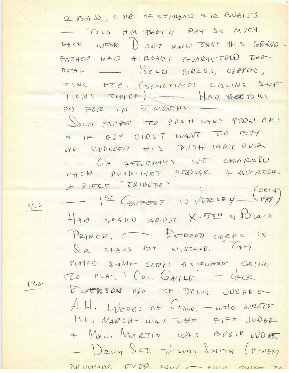2 BASS, 2 PR. OF CYMBALS & 12 BUGLES. TOLD THM THOY'D PAY SO MUCH DACH WEEK. DIDN'T KNOW THAT HIS GRAND-FATHOR HAD ALROADY GUARANTARD THO POAL - SOLD BRASS, COPPUR, ZINC OTC. (SOMETIMOS SOLING SAME ITEMS TWICE | - HAD BOD BILL PD. FOR IN 5 MONTHS. DOLD PAPTER TO PUSH CART PDDDLARS 4 IP GUY DIDN'T WANT TO BUY NO KVOCKED HIS PUSH CART OVER ON SATURDAYS WE CHARGD DACH PVSH-CART PDDVAR A GUARTOR A PIECE "TRIBUTE" 1er Concess IN JORSEY (CIRCA) HAN HARD ABOUT X-5TH & BLACK PRINCE, FATERED ODRPS IN SR. CLASS BY MISTAKE. CHOY PLAYOD SAME CORPS AS UFWERE GOING TO PLAY COL. GAYLE. - UACK ECRERSON ONO OF DRUM UND GES A.H. WOODS OF CONN, - WHO WROTE ILL, MARCH- WAS CHO FIFE JUDGE 4 MAU. MARTIN WAS BUGIE WOGE - DRUM SGT. VINNY SMITH (FINEST DRUMMOR EVDR SAW - ANIM ANISE TO

 $126$ 

138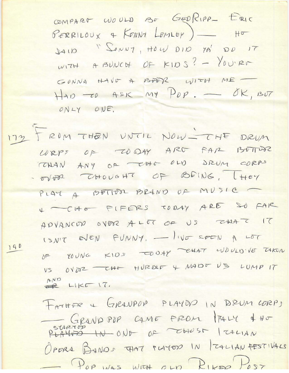COMPART WOULD BE GEORIPP- ERIC PERRILOUX & KONNY LEMLEY) -- HO 1410 "LONNY, HOW DID YA' DD IT  $W17H$  A BUNCH OF KIDS? - YOU'RM GONNA HAVE A BADR WITH ME  $HAD = CD$  ASK MY  $PDP = -OK$ , BUT ONLY ONE.

172 FROM THEN UNTIL NOW - CHE DRUM CORPS OF TODAY ARD FAR BOTTOM TODAN ANY OF CHO OLD DRUM CORPS - 5/002 CHOUGHT OF BEING. [HEY PLAY A BETTER BRAND OF MUSIC 4 -CHE FIFERS CODAY ARE SO FAR ADVANCOP OVER ALOT OF US EAAT IT ISN'T EVEN FUNNY, - livE SEEN A LOT 190 OF YOUNG KIDS COOSY CHAT WOULD'VE TAKEN VS OVDR -CHO HURDLE & MADE US LUMP IT AND LIKE 17.

> FATHER & GRANPOR PLAYOR IN DRUM CORPS GRANDPOP CAME FROM PALY 4 HO PLAYER IN ONE OF THUST ITALIAN OPORA BANDS THAT TLAYED IN TALIAN FESTIVALS - Pop was with our RIKAR Post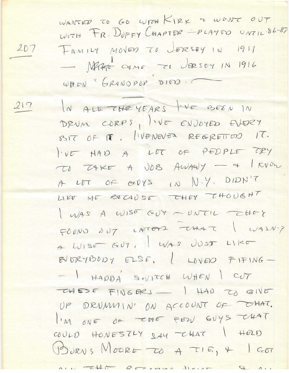WANTED TO GO WITH KIRK & WONT OUT WITH FR. DUFFY CHAPTOR - PLAYOD UNTIL.86-87 FAMILY MOVED TO JERSEY IN 1911 - MARIO ano To JERSOY IN 1916 WHON "GRANDPOR DIED. C

 $217$ 

 $2D7$ 

IN ALL THE YEARS I'VE BEEN IN DRUM CORPS, IVE ENJOYED EVERY BIT OF IT, IVENEVER REGRETION IT. I'VE HAD A LOT OF PEDPLE TRY TO TAKE A JOB AWAWY - + I KNOW A LOT OF GUYS IN N.Y. DIDN'T LIKE ME BECAUSE THEY THOUGHT WAS A WISE GUY - UNTIL - CHOY FOUND 207 LATOR THAT I WASNY A WISE GUY, I WAS JUST LIKE  $BUBRYBDDY ELSE, LDVED FIFING-$ - I HAPDA SWITCH WHEN I CUT THESE FINGERS - 1 HAD TO GIVE UP DRUMMIN' ON ACCOUNT OF THAT. I'M ONE OF THE FEW GUYS THAT COULD HONESTLY 244 TUAT | HELD BURNS MOORE TO A TIE, 4 GOT ALL - 240 REZAMA DALAT